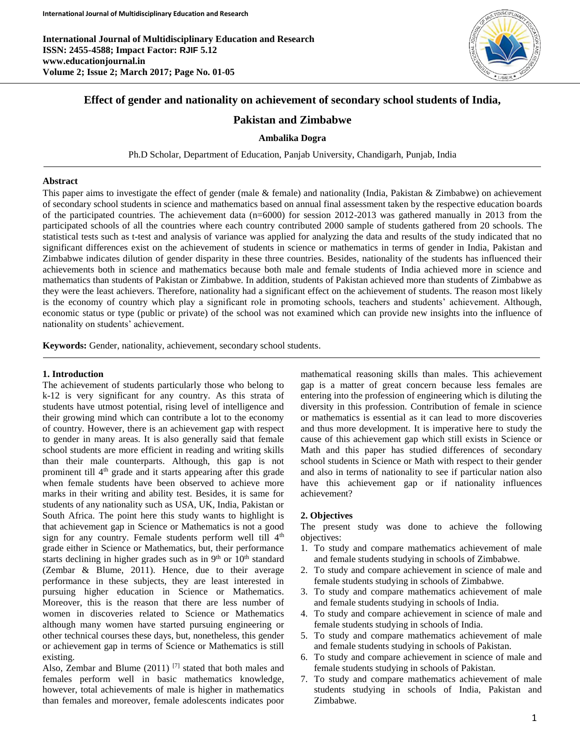

# **Effect of gender and nationality on achievement of secondary school students of India,**

# **Pakistan and Zimbabwe**

#### **Ambalika Dogra**

Ph.D Scholar, Department of Education, Panjab University, Chandigarh, Punjab, India

#### **Abstract**

This paper aims to investigate the effect of gender (male & female) and nationality (India, Pakistan & Zimbabwe) on achievement of secondary school students in science and mathematics based on annual final assessment taken by the respective education boards of the participated countries. The achievement data (n=6000) for session 2012-2013 was gathered manually in 2013 from the participated schools of all the countries where each country contributed 2000 sample of students gathered from 20 schools. The statistical tests such as t-test and analysis of variance was applied for analyzing the data and results of the study indicated that no significant differences exist on the achievement of students in science or mathematics in terms of gender in India, Pakistan and Zimbabwe indicates dilution of gender disparity in these three countries. Besides, nationality of the students has influenced their achievements both in science and mathematics because both male and female students of India achieved more in science and mathematics than students of Pakistan or Zimbabwe. In addition, students of Pakistan achieved more than students of Zimbabwe as they were the least achievers. Therefore, nationality had a significant effect on the achievement of students. The reason most likely is the economy of country which play a significant role in promoting schools, teachers and students' achievement. Although, economic status or type (public or private) of the school was not examined which can provide new insights into the influence of nationality on students' achievement.

**Keywords:** Gender, nationality, achievement, secondary school students.

#### **1. Introduction**

The achievement of students particularly those who belong to k-12 is very significant for any country. As this strata of students have utmost potential, rising level of intelligence and their growing mind which can contribute a lot to the economy of country. However, there is an achievement gap with respect to gender in many areas. It is also generally said that female school students are more efficient in reading and writing skills than their male counterparts. Although, this gap is not prominent till 4<sup>th</sup> grade and it starts appearing after this grade when female students have been observed to achieve more marks in their writing and ability test. Besides, it is same for students of any nationality such as USA, UK, India, Pakistan or South Africa. The point here this study wants to highlight is that achievement gap in Science or Mathematics is not a good sign for any country. Female students perform well till  $4<sup>th</sup>$ grade either in Science or Mathematics, but, their performance starts declining in higher grades such as in  $9<sup>th</sup>$  or  $10<sup>th</sup>$  standard (Zembar & Blume, 2011). Hence, due to their average performance in these subjects, they are least interested in pursuing higher education in Science or Mathematics. Moreover, this is the reason that there are less number of women in discoveries related to Science or Mathematics although many women have started pursuing engineering or other technical courses these days, but, nonetheless, this gender or achievement gap in terms of Science or Mathematics is still existing.

Also, Zembar and Blume  $(2011)$  [7] stated that both males and females perform well in basic mathematics knowledge, however, total achievements of male is higher in mathematics than females and moreover, female adolescents indicates poor

mathematical reasoning skills than males. This achievement gap is a matter of great concern because less females are entering into the profession of engineering which is diluting the diversity in this profession. Contribution of female in science or mathematics is essential as it can lead to more discoveries and thus more development. It is imperative here to study the cause of this achievement gap which still exists in Science or Math and this paper has studied differences of secondary school students in Science or Math with respect to their gender and also in terms of nationality to see if particular nation also have this achievement gap or if nationality influences achievement?

### **2. Objectives**

The present study was done to achieve the following objectives:

- 1. To study and compare mathematics achievement of male and female students studying in schools of Zimbabwe.
- 2. To study and compare achievement in science of male and female students studying in schools of Zimbabwe.
- 3. To study and compare mathematics achievement of male and female students studying in schools of India.
- 4. To study and compare achievement in science of male and female students studying in schools of India.
- 5. To study and compare mathematics achievement of male and female students studying in schools of Pakistan.
- 6. To study and compare achievement in science of male and female students studying in schools of Pakistan.
- 7. To study and compare mathematics achievement of male students studying in schools of India, Pakistan and Zimbabwe.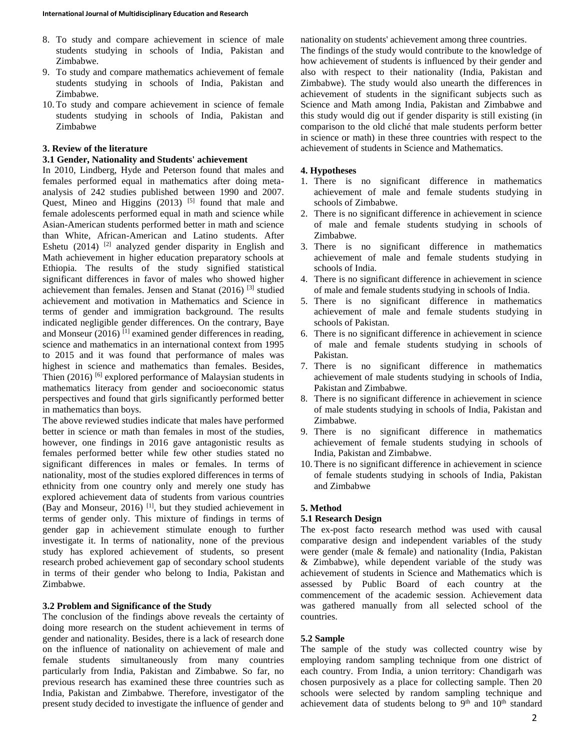- 8. To study and compare achievement in science of male students studying in schools of India, Pakistan and Zimbabwe.
- 9. To study and compare mathematics achievement of female students studying in schools of India, Pakistan and Zimbabwe.
- 10. To study and compare achievement in science of female students studying in schools of India, Pakistan and Zimbabwe

## **3. Review of the literature**

### **3.1 Gender, Nationality and Students' achievement**

In 2010, Lindberg, Hyde and Peterson found that males and females performed equal in mathematics after doing metaanalysis of 242 studies published between 1990 and 2007. Quest, Mineo and Higgins  $(2013)$  [5] found that male and female adolescents performed equal in math and science while Asian-American students performed better in math and science than White, African-American and Latino students. After Eshetu (2014)<sup>[2]</sup> analyzed gender disparity in English and Math achievement in higher education preparatory schools at Ethiopia. The results of the study signified statistical significant differences in favor of males who showed higher achievement than females. Jensen and Stanat (2016) [3] studied achievement and motivation in Mathematics and Science in terms of gender and immigration background. The results indicated negligible gender differences. On the contrary, Baye and Monseur  $(2016)$ <sup>[1]</sup> examined gender differences in reading, science and mathematics in an international context from 1995 to 2015 and it was found that performance of males was highest in science and mathematics than females. Besides, Thien  $(2016)$  [6] explored performance of Malaysian students in mathematics literacy from gender and socioeconomic status perspectives and found that girls significantly performed better in mathematics than boys.

The above reviewed studies indicate that males have performed better in science or math than females in most of the studies, however, one findings in 2016 gave antagonistic results as females performed better while few other studies stated no significant differences in males or females. In terms of nationality, most of the studies explored differences in terms of ethnicity from one country only and merely one study has explored achievement data of students from various countries (Bay and Monseur, 2016)  $\left[1\right]$ , but they studied achievement in terms of gender only. This mixture of findings in terms of gender gap in achievement stimulate enough to further investigate it. In terms of nationality, none of the previous study has explored achievement of students, so present research probed achievement gap of secondary school students in terms of their gender who belong to India, Pakistan and Zimbabwe.

### **3.2 Problem and Significance of the Study**

The conclusion of the findings above reveals the certainty of doing more research on the student achievement in terms of gender and nationality. Besides, there is a lack of research done on the influence of nationality on achievement of male and female students simultaneously from many countries particularly from India, Pakistan and Zimbabwe. So far, no previous research has examined these three countries such as India, Pakistan and Zimbabwe. Therefore, investigator of the present study decided to investigate the influence of gender and

nationality on students' achievement among three countries. The findings of the study would contribute to the knowledge of how achievement of students is influenced by their gender and also with respect to their nationality (India, Pakistan and Zimbabwe). The study would also unearth the differences in achievement of students in the significant subjects such as Science and Math among India, Pakistan and Zimbabwe and this study would dig out if gender disparity is still existing (in comparison to the old cliché that male students perform better in science or math) in these three countries with respect to the achievement of students in Science and Mathematics.

## **4. Hypotheses**

- 1. There is no significant difference in mathematics achievement of male and female students studying in schools of Zimbabwe.
- 2. There is no significant difference in achievement in science of male and female students studying in schools of Zimbabwe.
- 3. There is no significant difference in mathematics achievement of male and female students studying in schools of India.
- 4. There is no significant difference in achievement in science of male and female students studying in schools of India.
- 5. There is no significant difference in mathematics achievement of male and female students studying in schools of Pakistan.
- 6. There is no significant difference in achievement in science of male and female students studying in schools of Pakistan.
- 7. There is no significant difference in mathematics achievement of male students studying in schools of India, Pakistan and Zimbabwe.
- 8. There is no significant difference in achievement in science of male students studying in schools of India, Pakistan and Zimbabwe.
- 9. There is no significant difference in mathematics achievement of female students studying in schools of India, Pakistan and Zimbabwe.
- 10. There is no significant difference in achievement in science of female students studying in schools of India, Pakistan and Zimbabwe

## **5. Method**

### **5.1 Research Design**

The ex-post facto research method was used with causal comparative design and independent variables of the study were gender (male & female) and nationality (India, Pakistan & Zimbabwe), while dependent variable of the study was achievement of students in Science and Mathematics which is assessed by Public Board of each country at the commencement of the academic session. Achievement data was gathered manually from all selected school of the countries.

## **5.2 Sample**

The sample of the study was collected country wise by employing random sampling technique from one district of each country. From India, a union territory: Chandigarh was chosen purposively as a place for collecting sample. Then 20 schools were selected by random sampling technique and achievement data of students belong to  $9<sup>th</sup>$  and  $10<sup>th</sup>$  standard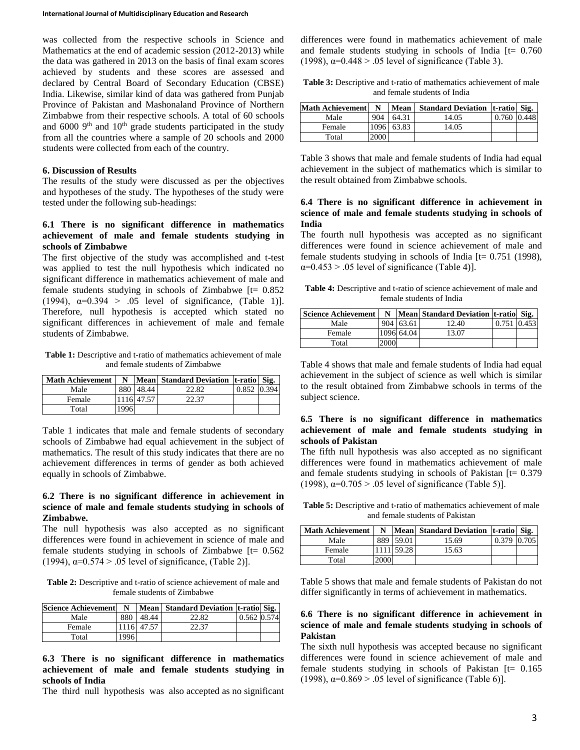was collected from the respective schools in Science and Mathematics at the end of academic session (2012-2013) while the data was gathered in 2013 on the basis of final exam scores achieved by students and these scores are assessed and declared by Central Board of Secondary Education (CBSE) India. Likewise, similar kind of data was gathered from Punjab Province of Pakistan and Mashonaland Province of Northern Zimbabwe from their respective schools. A total of 60 schools and  $6000$  9<sup>th</sup> and  $10<sup>th</sup>$  grade students participated in the study from all the countries where a sample of 20 schools and 2000 students were collected from each of the country.

#### **6. Discussion of Results**

The results of the study were discussed as per the objectives and hypotheses of the study. The hypotheses of the study were tested under the following sub-headings:

## **6.1 There is no significant difference in mathematics achievement of male and female students studying in schools of Zimbabwe**

The first objective of the study was accomplished and t-test was applied to test the null hypothesis which indicated no significant difference in mathematics achievement of male and female students studying in schools of Zimbabwe  $[t= 0.852]$ (1994),  $\alpha=0.394 > 0.05$  level of significance, (Table 1)]. Therefore, null hypothesis is accepted which stated no significant differences in achievement of male and female students of Zimbabwe.

**Table 1:** Descriptive and t-ratio of mathematics achievement of male and female students of Zimbabwe

| <b>Math Achievement</b> | N    |            | Mean Standard Deviation t-ratio Sig. |       |       |
|-------------------------|------|------------|--------------------------------------|-------|-------|
| Male                    | 880  | 48.44      | 22.82                                | 0.852 | 0.394 |
| Female                  |      | 1116 47.57 | 22.37                                |       |       |
| Total                   | 1996 |            |                                      |       |       |

Table 1 indicates that male and female students of secondary schools of Zimbabwe had equal achievement in the subject of mathematics. The result of this study indicates that there are no achievement differences in terms of gender as both achieved equally in schools of Zimbabwe.

### **6.2 There is no significant difference in achievement in science of male and female students studying in schools of Zimbabwe.**

The null hypothesis was also accepted as no significant differences were found in achievement in science of male and female students studying in schools of Zimbabwe  $[t= 0.562]$ (1994),  $\alpha = 0.574 > .05$  level of significance, (Table 2)].

**Table 2:** Descriptive and t-ratio of science achievement of male and female students of Zimbabwe

| <b>Science Achievement</b> | N     |            | Mean   Standard Deviation   t-ratio   Sig. |               |  |
|----------------------------|-------|------------|--------------------------------------------|---------------|--|
| Male                       | 880   | 48.44      | 22.82                                      | $0.562$ 0.574 |  |
| Female                     |       | 1116 47.57 | 22.37                                      |               |  |
| Total                      | 1996. |            |                                            |               |  |

## **6.3 There is no significant difference in mathematics achievement of male and female students studying in schools of India**

The third null hypothesis was also accepted as no significant

differences were found in mathematics achievement of male and female students studying in schools of India  $[t= 0.760]$ (1998),  $\alpha$ =0.448 > .05 level of significance (Table 3).

**Table 3:** Descriptive and t-ratio of mathematics achievement of male and female students of India

| <b>Math Achievement</b> | N    | Mean  | <b>Standard Deviation   t-ratio   Sig.</b> |             |  |
|-------------------------|------|-------|--------------------------------------------|-------------|--|
| Male                    | 904  | 64.31 | 14.05                                      | 0.760 0.448 |  |
| Female                  | 1096 | 63.83 | 14.05                                      |             |  |
| Total                   | 2000 |       |                                            |             |  |

Table 3 shows that male and female students of India had equal achievement in the subject of mathematics which is similar to the result obtained from Zimbabwe schools.

## **6.4 There is no significant difference in achievement in science of male and female students studying in schools of India**

The fourth null hypothesis was accepted as no significant differences were found in science achievement of male and female students studying in schools of India [t= 0.751 (1998),  $\alpha$ =0.453 > .05 level of significance (Table 4)].

**Table 4:** Descriptive and t-ratio of science achievement of male and female students of India

| <b>Science Achievement</b> | N    |            | Mean Standard Deviation t-ratio Sig. |       |       |
|----------------------------|------|------------|--------------------------------------|-------|-------|
| Male                       |      | 904 63.61  | 12.40                                | 0.751 | 0.453 |
| Female                     |      | 1096 64.04 | 13.07                                |       |       |
| Total                      | 2000 |            |                                      |       |       |

Table 4 shows that male and female students of India had equal achievement in the subject of science as well which is similar to the result obtained from Zimbabwe schools in terms of the subject science.

## **6.5 There is no significant difference in mathematics achievement of male and female students studying in schools of Pakistan**

The fifth null hypothesis was also accepted as no significant differences were found in mathematics achievement of male and female students studying in schools of Pakistan [t= 0.379 (1998),  $\alpha=0.705 > .05$  level of significance (Table 5)].

**Table 5:** Descriptive and t-ratio of mathematics achievement of male and female students of Pakistan

| <b>Math Achievement</b> | N    |            | Mean Standard Deviation   t-ratio   Sig. |             |  |
|-------------------------|------|------------|------------------------------------------|-------------|--|
| Male                    |      | 889 59.01  | 15.69                                    | 0.379 0.705 |  |
| Female                  |      | 1111 59.28 | 15.63                                    |             |  |
| Total                   | 2000 |            |                                          |             |  |

Table 5 shows that male and female students of Pakistan do not differ significantly in terms of achievement in mathematics.

## **6.6 There is no significant difference in achievement in science of male and female students studying in schools of Pakistan**

The sixth null hypothesis was accepted because no significant differences were found in science achievement of male and female students studying in schools of Pakistan [t= 0.165 (1998),  $\alpha=0.869 > .05$  level of significance (Table 6)].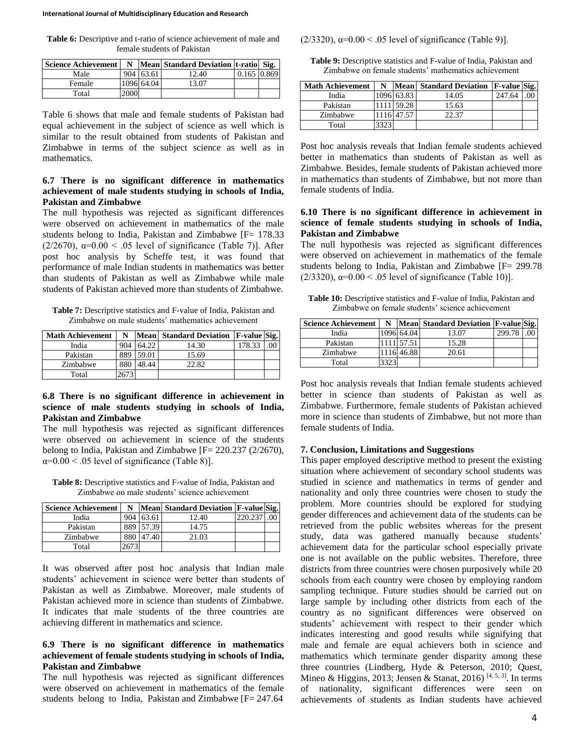**Table 6:** Descriptive and t-ratio of science achievement of male and female students of Pakistan

| <b>Science Achievement</b> |      |            | N   Mean Standard Deviation   t-ratio   Sig. |             |  |
|----------------------------|------|------------|----------------------------------------------|-------------|--|
| Male                       |      | 904 63.61  | 12.40                                        | 0.165 0.869 |  |
| Female                     |      | 1096 64.04 | 13.07                                        |             |  |
| Total                      | 2000 |            |                                              |             |  |

Table 6 shows that male and female students of Pakistan had equal achievement in the subject of science as well which is similar to the result obtained from students of Pakistan and Zimbabwe in terms of the subject science as well as in mathematics.

## **6.7 There is no significant difference in mathematics achievement of male students studying in schools of India, Pakistan and Zimbabwe**

The null hypothesis was rejected as significant differences were observed on achievement in mathematics of the male students belong to India, Pakistan and Zimbabwe [F= 178.33] ( $2/2670$ ),  $\alpha=0.00 < .05$  level of significance (Table 7)]. After post hoc analysis by Scheffe test, it was found that performance of male Indian students in mathematics was better than students of Pakistan as well as Zimbabwe while male students of Pakistan achieved more than students of Zimbabwe.

**Table 7:** Descriptive statistics and F-value of India, Pakistan and Zimbabwe on male students' mathematics achievement

| <b>Math Achievement</b> | N   |       | Mean Standard Deviation | <b>F-value Sig.</b> |  |
|-------------------------|-----|-------|-------------------------|---------------------|--|
| India                   | 904 | 64.22 | 14.30                   | 178.33              |  |
| Pakistan                | 889 | 59.01 | 15.69                   |                     |  |
| Zimbabwe                | 880 | 18.44 | 22.82                   |                     |  |
| Total                   |     |       |                         |                     |  |

## **6.8 There is no significant difference in achievement in science of male students studying in schools of India, Pakistan and Zimbabwe**

The null hypothesis was rejected as significant differences were observed on achievement in science of the students belong to India, Pakistan and Zimbabwe  $[F = 220.237 (2/2670),$  $\alpha=0.00$  < .05 level of significance (Table 8)].

**Table 8:** Descriptive statistics and F-value of India, Pakistan and Zimbabwe on male students' science achievement

| <b>Science Achievement</b> | N   |       | Mean Standard Deviation F-value Sig. |         |  |
|----------------------------|-----|-------|--------------------------------------|---------|--|
| India                      | 904 | 63.61 | 12.40                                | 220.237 |  |
| Pakistan                   | 889 | 57.39 | 14.75                                |         |  |
| Zimbabwe                   | 880 | 47.40 | 21.03                                |         |  |
| Total                      |     |       |                                      |         |  |

It was observed after post hoc analysis that Indian male students' achievement in science were better than students of Pakistan as well as Zimbabwe. Moreover, male students of Pakistan achieved more in science than students of Zimbabwe. It indicates that male students of the three countries are achieving different in mathematics and science.

## **6.9 There is no significant difference in mathematics achievement of female students studying in schools of India, Pakistan and Zimbabwe**

The null hypothesis was rejected as significant differences were observed on achievement in mathematics of the female students belong to India, Pakistan and Zimbabwe [F= 247.64

(2/3320),  $\alpha = 0.00 < .05$  level of significance (Table 9)].

**Table 9:** Descriptive statistics and F-value of India, Pakistan and Zimbabwe on female students' mathematics achievement

| <b>Math Achievement</b> | N    |            | Mean Standard Deviation | <b>F-value Sig.</b> |  |
|-------------------------|------|------------|-------------------------|---------------------|--|
| India                   |      | 1096 63.83 | 14.05                   | 247.64              |  |
| Pakistan                |      | 1111 59.28 | 15.63                   |                     |  |
| Zimbabwe                |      | 1116 47.57 | 22.37                   |                     |  |
| Total                   | 3323 |            |                         |                     |  |

Post hoc analysis reveals that Indian female students achieved better in mathematics than students of Pakistan as well as Zimbabwe. Besides, female students of Pakistan achieved more in mathematics than students of Zimbabwe, but not more than female students of India.

## **6.10 There is no significant difference in achievement in science of female students studying in schools of India, Pakistan and Zimbabwe**

The null hypothesis was rejected as significant differences were observed on achievement in mathematics of the female students belong to India, Pakistan and Zimbabwe [F= 299.78 (2/3320),  $\alpha=0.00 < .05$  level of significance (Table 10)].

**Table 10:** Descriptive statistics and F-value of India, Pakistan and Zimbabwe on female students' science achievement

| <b>Science Achievement</b> | N |            | Mean Standard Deviation F-value Sig. |        |  |
|----------------------------|---|------------|--------------------------------------|--------|--|
| India                      |   | 1096 64.04 | 13.07                                | 299.78 |  |
| Pakistan                   |   | 1111 57.51 | 15.28                                |        |  |
| Zimbabwe                   |   | 1116 46.88 | 20.61                                |        |  |
| Total                      |   |            |                                      |        |  |

Post hoc analysis reveals that Indian female students achieved better in science than students of Pakistan as well as Zimbabwe. Furthermore, female students of Pakistan achieved more in science than students of Zimbabwe, but not more than female students of India.

#### **7. Conclusion, Limitations and Suggestions**

This paper employed descriptive method to present the existing situation where achievement of secondary school students was studied in science and mathematics in terms of gender and nationality and only three countries were chosen to study the problem. More countries should be explored for studying gender differences and achievement data of the students can be retrieved from the public websites whereas for the present study, data was gathered manually because students' achievement data for the particular school especially private one is not available on the public websites. Therefore, three districts from three countries were chosen purposively while 20 schools from each country were chosen by employing random sampling technique. Future studies should be carried out on large sample by including other districts from each of the country as no significant differences were observed on students' achievement with respect to their gender which indicates interesting and good results while signifying that male and female are equal achievers both in science and mathematics which terminate gender disparity among these three countries (Lindberg, Hyde & Peterson, 2010; Quest, Mineo & Higgins, 2013; Jensen & Stanat, 2016)<sup>[4, 5, 3]</sup>. In terms of nationality, significant differences were seen on achievements of students as Indian students have achieved